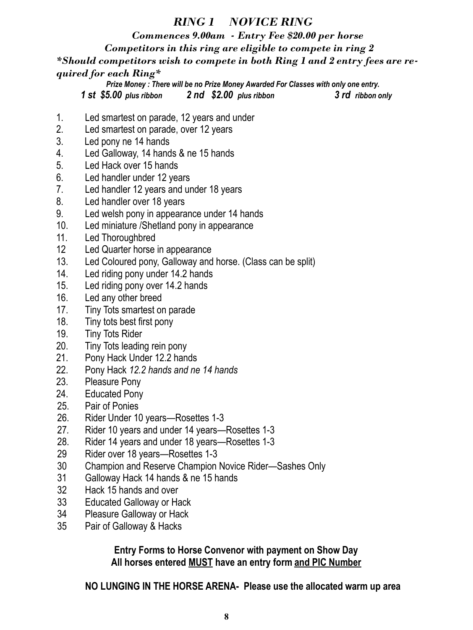### *RING 1 NOVICE RING*

 *Commences 9.00am - Entry Fee \$20.00 per horse*

 *Competitors in this ring are eligible to compete in ring 2*

*\*Should competitors wish to compete in both Ring 1 and 2 entry fees are required for each Ring\**

*Prize Money : There will be no Prize Money Awarded For Classes with only one entry. 1 st \$5.00 plus ribbon 2 nd \$2.00 plus ribbon 3 rd ribbon only*

- 1. Led smartest on parade, 12 years and under
- 2. Led smartest on parade, over 12 years
- 3. Led pony ne 14 hands
- 4. Led Galloway, 14 hands & ne 15 hands
- 5. Led Hack over 15 hands
- 6. Led handler under 12 years
- 7. Led handler 12 years and under 18 years
- 8. Led handler over 18 years
- 9. Led welsh pony in appearance under 14 hands
- 10. Led miniature /Shetland pony in appearance
- 11. Led Thoroughbred
- 12 Led Quarter horse in appearance
- 13. Led Coloured pony, Galloway and horse. (Class can be split)
- 14. Led riding pony under 14.2 hands
- 15. Led riding pony over 14.2 hands
- 16. Led any other breed
- 17. Tiny Tots smartest on parade
- 18. Tiny tots best first pony
- 19. Tiny Tots Rider
- 20. Tiny Tots leading rein pony
- 21. Pony Hack Under 12.2 hands
- 22. Pony Hack *12.2 hands and ne 14 hands*
- 23. Pleasure Pony
- 24. Educated Pony
- 25. Pair of Ponies
- 26. Rider Under 10 years—Rosettes 1-3
- 27*.* Rider 10 years and under 14 years—Rosettes 1-3
- 28. Rider 14 years and under 18 years—Rosettes 1-3
- 29 Rider over 18 years—Rosettes 1-3
- 30 Champion and Reserve Champion Novice Rider—Sashes Only
- 31 Galloway Hack 14 hands & ne 15 hands
- 32 Hack 15 hands and over
- 33 Educated Galloway or Hack
- 34 Pleasure Galloway or Hack
- 35 Pair of Galloway & Hacks

**Entry Forms to Horse Convenor with payment on Show Day All horses entered MUST have an entry form and PIC Number**

**NO LUNGING IN THE HORSE ARENA- Please use the allocated warm up area**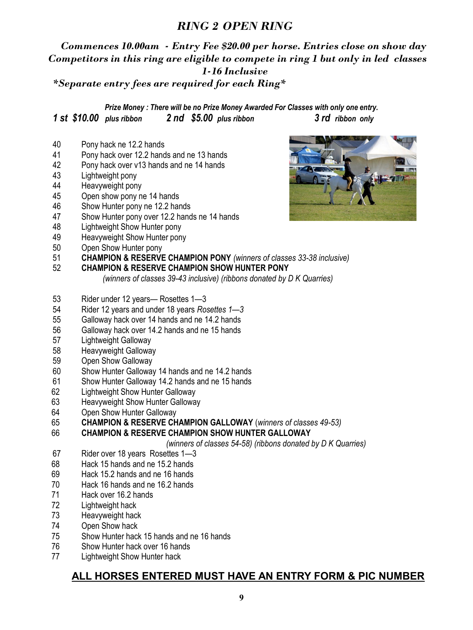### *RING 2 OPEN RING*

# *Commences 10.00am - Entry Fee \$20.00 per horse. Entries close on show day Competitors in this ring are eligible to compete in ring 1 but only in led classes 1-16 Inclusive*

*\*Separate entry fees are required for each Ring\**

*Prize Money : There will be no Prize Money Awarded For Classes with only one entry. 1 st \$10.00 plus ribbon 2 nd \$5.00 plus ribbon 3 rd ribbon only*

- Pony hack ne 12.2 hands
- Pony hack over 12.2 hands and ne 13 hands
- Pony hack over v13 hands and ne 14 hands
- Lightweight pony
- Heavyweight pony
- 45 Open show pony ne 14 hands
- 46 Show Hunter pony ne 12.2 hands
- Show Hunter pony over 12.2 hands ne 14 hands
- 48 Lightweight Show Hunter pony
- 49 Heavyweight Show Hunter pony
- 50 Open Show Hunter pony
- **CHAMPION & RESERVE CHAMPION PONY** *(winners of classes 33-38 inclusive)*
- **CHAMPION & RESERVE CHAMPION SHOW HUNTER PONY** 
	- *(winners of classes 39-43 inclusive) (ribbons donated by D K Quarries)*
- 53 Rider under 12 years— Rosettes 1—3
- Rider 12 years and under 18 years *Rosettes 1—3*
- Galloway hack over 14 hands and ne 14.2 hands
- Galloway hack over 14.2 hands and ne 15 hands
- Lightweight Galloway
- Heavyweight Galloway
- Open Show Galloway
- Show Hunter Galloway 14 hands and ne 14.2 hands
- Show Hunter Galloway 14.2 hands and ne 15 hands
- Lightweight Show Hunter Galloway
- Heavyweight Show Hunter Galloway
- Open Show Hunter Galloway
- **CHAMPION & RESERVE CHAMPION GALLOWAY** (*winners of classes 49-53)*

#### 66 **CHAMPION & RESERVE CHAMPION SHOW HUNTER GALLOWAY**

*(winners of classes 54-58) (ribbons donated by D K Quarries)*

- Rider over 18 years Rosettes 1—3
- Hack 15 hands and ne 15.2 hands
- Hack 15.2 hands and ne 16 hands
- Hack 16 hands and ne 16.2 hands
- Hack over 16.2 hands
- Lightweight hack
- Heavyweight hack
- Open Show hack
- Show Hunter hack 15 hands and ne 16 hands
- Show Hunter hack over 16 hands
- Lightweight Show Hunter hack

### **ALL HORSES ENTERED MUST HAVE AN ENTRY FORM & PIC NUMBER**

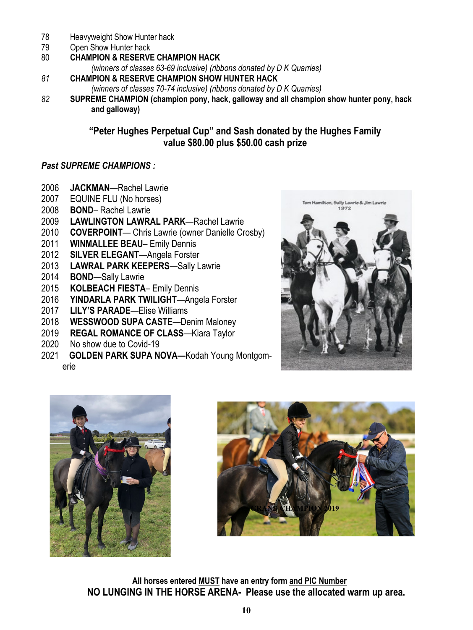- Heavyweight Show Hunter hack
- Open Show Hunter hack
- **CHAMPION & RESERVE CHAMPION HACK**

*(winners of classes 63-69 inclusive) (ribbons donated by D K Quarries)*

- **CHAMPION & RESERVE CHAMPION SHOW HUNTER HACK**
	- *(winners of classes 70-74 inclusive) (ribbons donated by D K Quarries)*
- **SUPREME CHAMPION (champion pony, hack, galloway and all champion show hunter pony, hack and galloway)**

#### **"Peter Hughes Perpetual Cup" and Sash donated by the Hughes Family value \$80.00 plus \$50.00 cash prize**

#### *Past SUPREME CHAMPIONS :*

- **JACKMAN**—Rachel Lawrie
- EQUINE FLU (No horses)
- **BOND** Rachel Lawrie
- **LAWLINGTON LAWRAL PARK**—Rachel Lawrie
- **COVERPOINT** Chris Lawrie (owner Danielle Crosby)
- **WINMALLEE BEAU** Emily Dennis
- **SILVER ELEGANT**—Angela Forster
- **LAWRAL PARK KEEPERS**—Sally Lawrie
- **BOND**—Sally Lawrie
- **KOLBEACH FIESTA** Emily Dennis
- **YINDARLA PARK TWILIGHT**—Angela Forster
- **LILY'S PARADE**—Elise Williams
- **WESSWOOD SUPA CASTE**—Denim Maloney
- **REGAL ROMANCE OF CLASS**—Kiara Taylor
- No show due to Covid-19
- **GOLDEN PARK SUPA NOVA—**Kodah Young Montgomerie









**All horses entered MUST have an entry form and PIC Number NO LUNGING IN THE HORSE ARENA- Please use the allocated warm up area.**